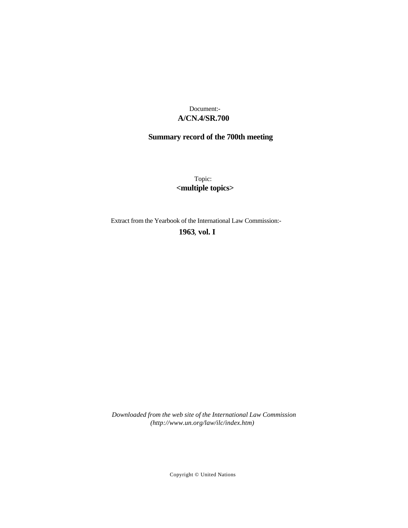## **A/CN.4/SR.700** Document:-

# **Summary record of the 700th meeting**

Topic: **<multiple topics>**

Extract from the Yearbook of the International Law Commission:-

**1963** , **vol. I**

*Downloaded from the web site of the International Law Commission (http://www.un.org/law/ilc/index.htm)*

Copyright © United Nations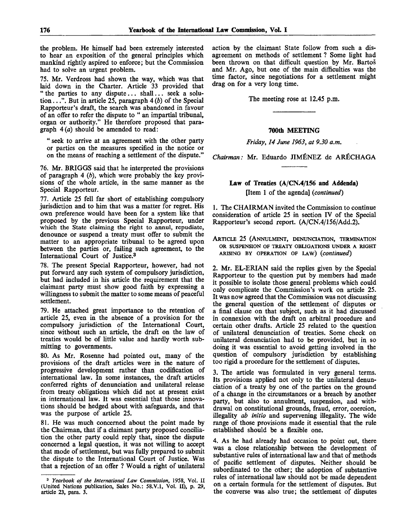the problem. He himself had been extremely interested to hear an exposition of the general principles which mankind rightly aspired to enforce; but the Commission had to solve an urgent problem.

75. Mr. Verdross had shown the way, which was that laid down in the Charter. Article 33 provided that " the parties to any dispute... shall... seek a solution ...". But in article 25, paragraph 4 *(b)* of the Special Rapporteur's draft, the search was abandoned in favour of an offer to refer the dispute to " an impartial tribunal, organ or authority." He therefore proposed that paragraph 4*(a)* should be amended to read:

" seek to arrive at an agreement with the other party or parties on the measures specified in the notice or on the means of reaching a settlement of the dispute."

76. Mr. BRIGGS said that he interpreted the provisions of paragraph 4 *(b),* which were probably the key provisions of the whole article, in the same manner as the Special Rapporteur.

77. Article 25 fell far short of establishing compulsory jurisdiction and to him that was a matter for regret. His own preference would have been for a system like that proposed by the previous Special Rapporteur, under which the State claiming the right to annul, repudiate, denounce or suspend a treaty must offer to submit the matter to an appropriate tribunal to be agreed upon between the parties or, failing such agreement, to the International Court of Justice.<sup>3</sup>

78. The present Special Rapporteur, however, had not put forward any such system of compulsory jurisdiction, but had included in his article the requirement that the claimant party must show good faith by expressing a willingness to submit the matter to some means of peaceful settlement.

79. He attached great importance to the retention of article 25, even in the absence of a provision for the compulsory jurisdiction of the International Court, since without such an article, the draft on the law of treaties would be of little value and hardly worth submitting to governments.

80. As Mr. Rosenne had pointed out, many of the provisions of the draft articles were in the nature of progressive development rather than codification of international law. In some instances, the draft articles conferred rights of denunciation and unilateral release from treaty obligations which did not at present exist in international law. It was essential that those innovations should be hedged about with safeguards, and that was the purpose of article 25.

81. He was much concerned about the point made by the Chairman, that if a claimant party proposed conciliation the other party could reply that, since the dispute concerned a legal question, it was not willing to accept that mode of settlement, but was fully prepared to submit the dispute to the International Court of Justice. Was that a rejection of an offer ? Would a right of unilateral action by the claimant State follow from such a disagreement on methods of settlement ? Some light had been thrown on that difficult question by Mr. Bartos and Mr. Ago, but one of the main difficulties was the time factor, since negotiations for a settlement might drag on for a very long time.

The meeting rose at 12.45 p.m.

#### **700th MEETING**

*Friday, 14 June 1963, at 9.30 a.m.*

*Chairman:* Mr. Eduardo JIMfiNEZ de ARfiCHAGA

### **Law of Treaties (A/CN.4/156 and Addenda)** [Item 1 of the agenda] *{continued)*

1. The CHAIRMAN invited the Commission to continue consideration of article 25 in section IV of the Special Rapporteur's second report. (A/CN.4/156/Add.2).

ARTICLE 25 (ANNULMENT, DENUNCIATION, TERMINATION OR SUSPENSION OF TREATY OBLIGATIONS UNDER A RIGHT ARISING BY OPERATION OF LAW) *{continued)*

2. Mr. EL-ERIAN said the replies given by the Special Rapporteur to the question put by members had made it possible to isolate those general problems which could only complicate the Commission's work on article 25. It was now agreed that the Commission was not discussing the general question of the settlement of disputes or a final clause on that subject, such as it had discussed in connexion with the draft on arbitral procedure and certain other drafts. Article 25 related to the question of unilateral denunciation of treaties. Some check on unilateral denunciation had to be provided, but in so doing it was essential to avoid getting involved in the question of compulsory jurisdiction by establishing too rigid a procedure for the settlement of disputes.

3. The article was formulated in very general terms. Its provisions applied not only to the unilateral denunciation of a treaty by one of the parties on the ground of a change in the circumstances or a breach by another party, but also to annulment, suspension, and withdrawal on constitutional grounds, fraud, error, coercion, illegality *ab initio* and supervening illegality. The wide range of those provisions made it essential that the rule established should be a flexible one.

4. As he had already had occasion to point out, there was a close relationship between the development of substantive rules of international law and that of methods of pacific settlement of disputes. Neither should be subordinated to the other; the adoption of substantive rules of international law should not be made dependent on a certain formula for the settlement of disputes. But the converse was also true; the settlement of disputes

<sup>3</sup>  *Yearbook of the International Law Commission,* 1958, Vol. II (United Nations publication, Sales No.: 58.V.1, Vol. II), p. 29, article 23, para. 3.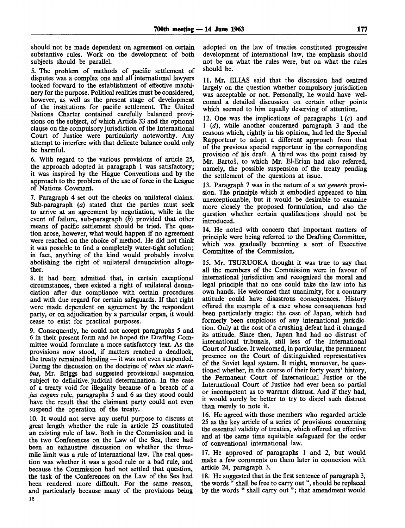should not be made dependent on agreement on certain substantive rules. Work on the development of both subjects should be parallel.

5. The problem of methods of pacific settlement of disputes was a complex one and all international lawyers looked forward to the establishment of effective machinery for the purpose. Political realities must be considered, however, as well as the present stage of development of the institutions for pacific settlement. The United Nations Charter contained carefully balanced provisions on the subject, of which Article 33 and the optional clause on the compulsory jurisdiction of the International Court of Justice were particularly noteworthy. Any attempt to interfere with that delicate balance could only be harmful.

6. With regard to the various provisions of article 25, the approach adopted in paragraph 1 was satisfactory; it was inspired by the Hague Conventions and by the approach to the problem of the use of force in the League of Nations Covenant.

7. Paragraph 4 set out the checks on unilateral claims. Sub-paragraph *(a)* stated that the parties must seek to arrive at an agreement by negotiation, while in the event of failure, sub-paragraph *(b)* provided that other means of pacific settlement should be tried. The question arose, however, what would happen if no agreement were reached on the choice of method. He did not think it was possible to find a completely water-tight solution; in fact, anything of the kind would probably involve abolishing the right of unilateral denunciation altogether.

8. It had been admitted that, in certain exceptional circumstances, there existed a right of unilateral denunciation after due compliance with certain procedures and with due regard for certain safeguards. If that right were made dependent on agreement by the respondent party, or on adjudication by a particular organ, it would cease to exist for practical purposes.

9. Consequently, he could not accept paragraphs 5 and 6 in their present form and he hoped the Drafting Committee would formulate a more satisfactory text. As the provisions now stood, if matters reached a deadlock, the treaty remained binding — it was not even suspended. During the discussion on the doctrine of *rebus sic stantibus,* Mr. Briggs had suggested provisional suspension subject to definitive, judicial determination. In the case of a treaty void for illegality because of a breach of a *jus cogens* rule, paragraphs 5 and 6 as they stood could have the result that the claimant party could not even suspend the operation of the treaty.

10. It would not serve any useful purpose to discuss at great length whether the rule in article 25 constituted an existing rule of law. Both in the Commission and in the two Conferences on the Law of the Sea, there had been an exhaustive discussion on whether the threemile limit was a rule of international law. The real question was whether it was a good rule or a bad rule, and because the Commission had not settled that question, the task of the Conferences on the Law of the Sea had been rendered more difficult. For the same reason, and particularly because many of the provisions being **12**

adopted on the law of treaties constituted progressive development of international law, the emphasis should not be on what the rules were, but on what the rules should be.

11. Mr. ELIAS said that the discussion had centred largely on the question whether compulsory jurisdiction was acceptable or not. Personally, he would have welcomed a detailed discussion on certain other points which seemed to him equally deserving of attention.

12. One was the implications of paragraphs  $1(c)$  and 1 *(d),* while another concerned paragraph 3 and the reasons which, rightly in his opinion, had led the Special Rapporteur to adopt a different approach from that of the previous special rapporteur in the corresponding provision of his draft. A third was the point raised by Mr. Bartoš, to which Mr. El-Erian had also referred, namely, the possible suspension of the treaty pending the settlement of the questions at issue.

13. Paragraph 7 was in the nature of a *sui generis* provision. The principle which it embodied appeared to him unexceptionable, but it would be desirable to examine more closely the proposed formulation, and also the question whether certain qualifications should not be introduced.

14. He noted with concern that important matters of principle were being referred to the Drafting Committee, which was gradually becoming a sort of Executive Committee of the Commission.

15. Mr. TSURUOKA thought it was true to say that all the members of the Commission were in favour of international jurisdiction and recognized the moral and legal principle that no one could take the law into his own hands. He welcomed that unanimity, for a contrary attitude could have disastrous consequences. History offered the example of a case whose consequences had been particularly tragic: the case of Japan, which had formerly been suspicious of any international jurisdiction. Only at the cost of a crushing defeat had it changed its attitude. Since then, Japan had had no distrust of international tribunals, still less of the International Court of Justice. It welcomed, in particular, the permanent presence on the Court of distinguished representatives of the Soviet legal system. It might, moreover, be questioned whether, in the course of their forty years' history, the Permanent Court of International Justice or the International Court of Justice had ever been so partial or incompetent as to warrant distrust. And if they had, it would surely be better to try to dispel such distrust than merely to note it.

16. He agreed with those members who regarded article 25 as the key article of a series of provisions concerning the essential validity of treaties, which offered an effective and at the same time equitable safeguard for the order of conventional international law.

17. He approved of paragraphs 1 and 2, but would make a few comments on them later in connexion with article 24, paragraph 3.

18. He suggested that in the first sentence of paragraph 3, the words " shall be free to carry out ", should be replaced by the words " shall carry out "; that amendment would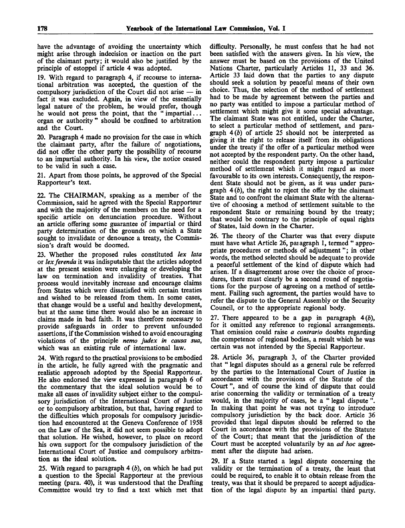have the advantage of avoiding the uncertainty which might arise through indecision or inaction on the part of the claimant party; it would also be justified by the principle of estoppel if article 4 was adopted.

19. With regard to paragraph 4, if recourse to international arbitration was accepted, the question of the compulsory jurisdiction of the Court did not arise — in fact it was excluded. Again, in view of the essentially legal nature of the problem, he would prefer, though he would not press the point, that the " impartial... organ or authority" should be confined to arbitration and the Court.

20. Paragraph 4 made no provision for the case in which the claimant party, after the failure of negotiations, did not offer the other party the possibility of recourse to an impartial authority. In his view, the notice ceased to be valid in such a case.

21. Apart from those points, he approved of the Special Rapporteur's text.

22. The CHAIRMAN, speaking as a member of the Commission, said he agreed with the Special Rapporteur and with the majority of the members on the need for a specific article on denunciation procedure. Without an article offering some guarantee of impartial or third party determination of the grounds on which a State sought to invalidate or denounce a treaty, the Commission's draft would be doomed.

23. Whether the proposed rules constituted *lex lata* or *lexferenda* it was indisputable that the articles adopted at the present session were enlarging or developing the law on termination and invalidity of treaties. That process would inevitably increase and encourage claims from States which were dissatisfied with certain treaties and wished to be released from them. In some cases, that change would be a useful and healthy development, but at the same time there would also be an increase in claims made in bad faith. It was therefore necessary to provide safeguards in order to prevent unfounded assertions, if the Commission wished to avoid encouraging violations of the principle *nemo judex in causa sua,* which was an existing rule of international law.

24. With regard to the practical provisions to be embodied in the article, he fully agreed with the pragmatic and realistic approach adopted by the Special Rapporteur. He also endorsed the view expressed in paragraph 6 of the commentary that the ideal solution would be to make all cases of invalidity subject either to the compulsory jurisdiction of the International Court of Justice or to compulsory arbitration, but that, having regard to the difficulties which proposals for compulsory jurisdiction had encountered at the Geneva Conference of 1958 on the Law of the Sea, it did not seem possible to adopt that solution. He wished, however, to place on record his own support for the compulsory jurisdiction of the International Court of Justice and compulsory arbitration as the ideal solution.

25. With regard to paragraph  $4(b)$ , on which he had put a question to the Special Rapporteur at the previous meeting (para. 40), it was understood that the Drafting Committee would try to find a text which met that difficulty. Personally, he must confess that he had not been satisfied with the answers given. In his view, the answer must be based on the provisions of the United Nations Charter, particularly Articles 11, 33 and 36. Article 33 laid down that the parties to any dispute should seek a solution by peaceful means of their own choice. Thus, the selection of the method of settlement had to be made by agreement between the parties and no party was entitled to impose a particular method of settlement which might give it some special advantage. The claimant State was not entitled, under the Charter, to select a particular method of settlement, and paragraph *4(b)* of article 25 should not be interpreted as giving it the right to release itself from its obligations under the treaty if the offer of a particular method were not accepted by the respondent party. On the other hand, neither could the respondent party impose a particular method of settlement which it might regard as more favourable to its own interests. Consequently, the respondent State should not be given, as it was under paragraph 4 *(b),* the right to reject the offer by the claimant State and to confront the claimant State with the alternative of choosing a method of settlement suitable to the respondent State or remaining bound by the treaty; that would be contrary to the principle of equal rights of States, laid down in the Charter.

26. The theory of the Charter was that every dispute must have what Article 26, paiagraph 1, termed " appropriate procedures or methods of adjustment"; in other words, the method selected should be adequate to provide a peaceful settlement of the kind of dispute which had arisen. If a disagreement arose over the choice of procedures, there must clearly be a second round of negotiations for the purpose of agreeing on a method of settlement. Failing such agreement, the parties would have to refer the dispute to the General Assembly or the Security Council, or to the appropriate regional body.

27. There appeared to be a gap in paragraph *4(b),* for it omitted any reference to regional arrangements. That omission could raise *a contrario* doubts regarding the competence of regional bodies, a result which he was certain was not intended by the Special Rapporteur.

28. Article 36, paragraph 3, of the Charter provided that " legal disputes should as a general rule be referred by the parties to the International Court of Justice in accordance with the provisions of the Statute of the Court ", and of course the kind of dispute that could arise concerning the validity or termination of a treaty would, in the majority of cases, be a "legal dispute" In making that point he was not trying to introduce compulsory jurisdiction by the back door. Article 36 provided that legal disputes should be referred to the Court in accordance with the provisions of the Statute of the Court; that meant that the jurisdiction of the Court must be accepted voluntarily by an *ad hoc* agreement after the dispute had arisen.

29. If a State started a legal dispute concerning the validity or the termination of a treaty, the least that could be required, to enable it to obtain release from the treaty, was that it should be prepared to accept adjudication of the legal dispute by an impartial third party.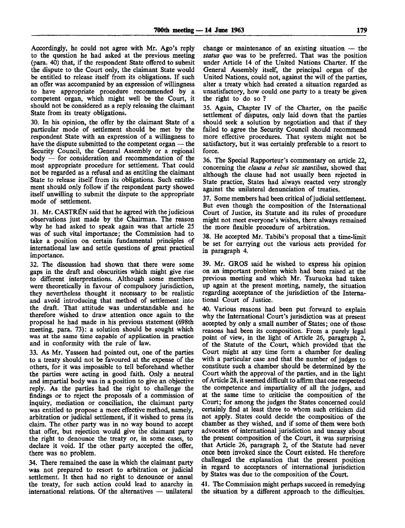Accordingly, he could not agree with Mr. Ago's reply to the question he had asked at the previous meeting (para. 40) that, if the respondent State offered to submit the dispute to the Court only, the claimant State would be entitled to release itself from its obligations. If such an offer was accompanied by an expression of willingness to have appropriate procedure recommended by a competent organ, which might well be the Court, it should not be considered as a reply releasing the claimant State from its treaty obligations.

30. In his opinion, the offer by the claimant State of a particular mode of settlement should be met by the respondent State with an expression of a willingness to have the dispute submitted to the competent organ — the Security Council, the General Assembly or a regional body — for consideration and recommendation of the most appropriate procedure for settlement. That could not be regarded as a refusal and as entitling the claimant State to release itself from its obligations. Such entitlement should only follow if the respondent party showed itself unwilling to submit the dispute to the appropriate mode of settlement.

31. Mr. CASTRÉN said that he agreed with the judicious observations just made by the Chairman. The reason why he had asked to speak again was that article 25 was of such vital importance; the Commission had to take a position on certain fundamental principles of international law and settle questions of great practical importance.

32. The discussion had shown that there were some gaps in the draft and obscurities which might give rise to different interpretations. Although some members were theoretically in favour of compulsory jurisdiction, they nevertheless thought it necessary to be realistic and avoid introducing that method of settlement into the draft. That attitude was understandable and he therefore wished to draw attention once again to the proposal he had made in his previous statement (698th meeting, para. 73): a solution should be sought which was at the same time capable of application in practice and in conformity with the rule of law.

33. As Mr. Yasseen had pointed out, one of the parties to a treaty should not be favoured at the expense of the others, for it was impossible to tell beforehand whether the parties were acting in good faith. Only a neutral and impartial body was in a position to give an objective reply. As the parties had the right to challenge the findings or to reject the proposals of a commission of inquiry, mediation or conciliation, the claimant party was entitled to propose a more effective method, namely, arbitration or judicial settlement, if it wished to press its claim. The other party was in no way bound to accept that offer, but rejection would give the claimant party the right to denounce the treaty or, in some cases, to declare it void. If the other party accepted the offer, there was no problem.

34. There remained the case in which the claimant party was not prepared to resort to arbitration or judicial settlement. It then had no right to denounce or annul the treaty, for such action could lead to anarchy in international relations. Of the alternatives — unilateral

change or maintenance of an existing situation — the *status quo* was to be preferred. That was the position under Article 14 of the United Nations Charter. If the General Assembly itself, the principal organ of the United Nations, could not, against the will of the parties, alter a treaty which had created a situation regarded as unsatisfactory, how could one party to a treaty be given the right to do so ?

35. Again, Chapter IV of the Charter, on the pacific settlement of disputes, only laid down that the parties should seek a solution by negotiation and that if they failed to agree the Security Council should recommend more effective procedures. That system might not be satisfactory, but it was certainly preferable to a resort to force.

36. The Special Rapporteur's commentary on article 22, concerning the *clausu a rebus sic stantibus,* showed that although the clause had not usually been rejected in State practice, States had always reacted very strongly against the unilateral denunciation of treaties.

37. Some members had been critical of judicial settlement. But even though the composition of the International Court of Justice, its Statute and its rules of procedure might not meet everyone's wishes, there always remained the more flexible procedure of arbitration.

38. He accepted Mr. Tabibi's proposal that a time-limit be set for carrying out the various acts provided for in paragraph 4.

39. Mr. GROS said he wished to express his opinion on an important problem which had been raised at the previous meeting and which Mr. Tsuruoka had taken up again at the present meeting, namely, the situation regarding acceptance of the jurisdiction of the International Court of Justice.

40. Various reasons had been put forward to explain why the International Court's jurisdiction was at present accepted by only a small number of States; one of those reasons had been its composition. From a purely legal point of view, in the light of Article 26, paragraph 2, of the Statute of the Court, which provided that the Court might at any time form a chamber for dealing with a particular case and that the number of judges to constitute such a chamber should be determined by the Court whith the approval of the parties, and in the light of Article 28, it seemed difficult to affirm that one respected the competence and impartiality of all the judges, and at the same time to criticise the composition of the Court; for among the judges the States concerned could certainly find at least three to whom such criticism did not apply. States could decide the composition of the chamber as they wished, and if some of them were both advocates of international jurisdiction and uneasy about the present composition of the Court, it was surprising that Article 26, paragraph 2, of the Statute had never once been invoked since the Court existed. He therefore challenged the explanation that the present position in regard to acceptances of international jurisdiction by States was due to the composition of the Court.

41. The Commission might perhaps succeed in remedying the situation by a different approach to the difficulties.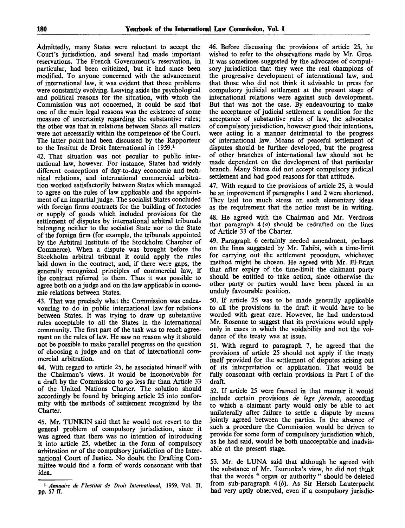Admittedly, many States were reluctant to accept the Court's jurisdiction, and several had made important reservations. The French Government's reservation, in particular, had been criticized, but it had since been modified. To anyone concerned with the advancement of international law, it was evident that those problems were constantly evolving. Leaving aside the psychological and political reasons for the situation, with which the Commission was not concerned, it could be said that one of the main legal reasons was the existence of some measure of uncertainty regarding the substantive rules; the other was that in relations between States all matters were not necessarily within the competence of the Court. The latter point had been discussed by the Rapporteur to the Institut de Droit International in 1959.<sup>1</sup>

42. That situation was not peculiar to public international law, however. For instance, States had widely different conceptions of day-to-day economic and technical relations, and international commercial arbitration worked satisfactorily between States which managed to agree on the rules of law applicable and the appointment of an impartial judge. The socialist States concluded with foreign firms contracts for the building of factories or supply of goods which included provisions for the settlement of disputes by international arbitral tribunals belonging neither to the socialist State nor to the State of the foreign firm (for example, the tribunals appointed by the Arbitral Institute of the Stockholm Chamber of Commerce). When a dispute was brought before the Stockholm arbitral tribunal it could apply the rules laid down in the contract, and, if there were gaps, the generally recognized principles of commercial law, if the contract referred to them. Thus it was possible to agree both on a judge and on the law applicable in economic relations between States.

43. That was precisely what the Commission was endeavouring to do in public international law for relations between States. It was trying to draw up substantive rules acceptable to all the States in the international community. The first part of the task was to reach agreement on the rules of law. He saw no reason why it should not be possible to make parallel progress on the question of choosing a judge and on that of international commercial arbitration.

44. With regard to article 25, he associated himself with the Chairman's views. It would be inconceivable for a draft by the Commission to go less far than Article 33 of the United Nations Charter. The solution should accordingly be found by bringing article 25 into conformity with the methods of settlement recognized by the Charter.

45. Mr. TUNKIN said that he would not revert to the general problem of compulsory jurisdiction, since it was agreed that there was no intention of introducing it into article 25, whether in the form of compulsory arbitration or of the compulsory jurisdiction of the International Court of Justice. No doubt the Drafting Committee would find a form of words consonant with that idea.

1  *Annuaire de VInstitut de Droit International,* 1959, Vol. II, pp. 57 ff.

46. Before discussing the provisions of article 25, he wished to refer to the observations made by Mr. Gros. It was sometimes suggested by the advocates of compulsory jurisdiction that they were the real champions of the progressive development of international law, and that those who did not think it advisable to press for compulsory judicial settlement at the present stage of international relations were against such development. But that was not the case. By endeavouring to make the acceptance of judicial settlement a condition for the acceptance of substantive rules of law, the advocates of compulsory jurisdiction, however good their intentions, were acting in a manner detrimental to the progress of international law. Means of peaceful settlement of disputes should be further developed, but the progress of other branches of international law should not be made dependent on the development of that particular branch. Many States did not accept compulsory judicial settlement and had good reasons for that attitude.

47. With regard to the provisions of article 25, it would be an improvement if paragraphs 1 and 2 were shortened. They laid too much stress on such elementary ideas as the requirement that the notice must be in writing.

48. He agreed with the Chairman and Mr. Verdross that paragraph 4 *(a)* should be redrafted on the lines of Article 33 of the Charter.

49. Paragraph 6 certainly needed amendment, perhaps on the lines suggested by Mr. Tabibi, with a time-limit for carrying out the settlement procedure, whichever method might be chosen. He agreed with Mr. El-Erian that after expiry of the time-limit the claimant party should be entitled to take action, since otherwise the other party or parties would have been placed in an unduly favourable position.

50. If article 25 was to be made generally applicable to all the provisions in the draft it would have to be worded with great care. However, he had understood Mr. Rosenne to suggest that its provisions would apply only in cases in which the voidability and not the voidance of the treaty was at issue.

51. With regard to paragraph 7, he agreed that the provisions of article 25 should not apply if the treaty itself provided for the settlement of disputes arising out of its interpretation or application. That would be fully consonant with certain provisions in Part I of the draft.

52. If article 25 were framed in that manner it would include certain provisions *de lege ferenda,* according to which a claimant party would only be able to act unilaterally after failure to settle a dispute by means jointly agreed between the parties. In the absence of such a procedure the Commission would be driven to provide for some form of compulsory jurisdiction which, as he had said, would be both unacceptable and inadvisable at the present stage.

53. Mr. de LUNA said that although he agreed with the substance of Mr. Tsuruoka's view, he did not think that the words " organ or authority " should be deleted from sub-paragraph  $4(b)$ . As Sir Hersch Lauterpacht had very aptly observed, even if a compulsory jurisdic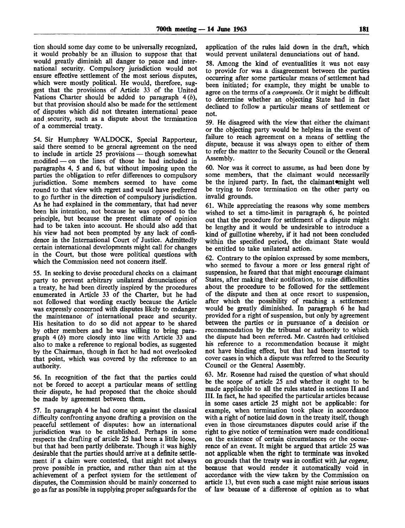tion should some day come to be universally recognized, it would probably be an illusion to suppose that that would greatly diminish all danger to peace and international security. Compulsory jurisdiction would not ensure effective settlement of the most serious disputes, which were mostly political. He would, therefore, suggest that the provisions of Article 33 of the United Nations Charter should be added to paragraph *4(b),* but that provision should also be made for the settlement of disputes which did not threaten international peace and security, such as a dispute about the termination of a commercial treaty.

54. Sir Humphrey WALDOCK, Special Rapporteur, said there seemed to be general agreement on the need to include in article 25 provisions — though somewhat modified — on the lines of those he had included in  $-$  on the lines of those he had included in paragraphs 4, 5 and 6, but without imposing upon the parties the obligation to refer differences to compulsory jurisdiction. Some members seemed to have come round to that view with regret and would have preferred to go further in the direction of compulsory jurisdiction. As he had explained in the commentary, that had never been his intention, not because he was opposed to the principle, but because the present climate of opinion had to be taken into account. He should also add that his view had not been prompted by any lack of confidence in the International Court of Justice. Admittedly certain international developments might call for changes in the Court, but those were political questions with which the Commission need not concern itself.

55. In seeking to devise procedural checks on a claimant party to prevent arbitrary unilateral denunciations of a treaty, he had been directly inspired by the procedures enumerated in Article 33 of the Charter, but he had not followed that wording exactly because the Article was expressly concerned with disputes likely to endanger the maintenance of international peace and security. His hesitation to do so did not appear to be shared by other members and he was willing to bring paragraph 4 *(b)* more closely into line with Article 33 and also to make a reference to regional bodies, as suggested by the Chairman, though in fact he had not overlooked that point, which was covered by the reference to an authority.

56. In recognition of the fact that the parties could not be forced to accept a particular means of settling their dispute, he had proposed that the choice should be made by agreement between them.

57. In paragraph 4 he had come up against the classical difficulty confronting anyone drafting a provision on the peaceful settlement of disputes: how an international jurisdiction was to be established. Perhaps in some respects the drafting of article 25 had been a little loose, but that had been partly deliberate. Though it was highly desirable that the parties should arrive at a definite settlement if a claim were contested, that might not always prove possible in practice, and rather than aim at the achievement of a perfect system for the settlement of disputes, the Commission should be mainly concerned to go as far as possible in supplying proper safeguards for the

application of the rules laid down in the draft, which would prevent unilateral denunciations out of hand.

58. Among the kind of eventualities it was not easy to provide for was a disagreement between the parties occurring after some particular means of settlement had been initiated; for example, they might be unable to agree on the terms of a *compromis.* Or it might be difficult to determine whether an objecting State had in fact declined to follow a particular means of settlement or not.

59. He disagreed with the view that either the claimant or the objecting party would be helpless in the event of failure to reach agreement on a means of settling the dispute, because it was always open to either of them to refer the matter to the Security Council or the General Assembly.

60. Nor was it correct to assume, as had been done by some members, that the claimant would necessarily be the injured party. In fact, the claimant might well be trying to force termination on the other party on invalid grounds.

61. While appreciating the reasons why some members wished to set a time-limit in paragraph 6, he pointed out that the procedure for settlement of a dispute might be lengthy and it would be undesirable to introduce a kind of guillotine whereby, if it had not been concluded within the specified period, the claimant State would be entitled to take unilateral action.

62. Contrary to the opinion expressed by some members, who seemed to favour a more or less general right of suspension, he feared that that might encourage claimant States, after making their notification, to raise difficulties about the procedure to be followed for the settlement of the dispute and then at once resort to suspension, after which the possibility of reaching a settlement would be greatly diminished. In paragraph 6 he had provided for a right of suspension, but only by agreement between the parties or in pursuance of a decision or recommendation by the tribunal or authority to which the dispute had been referred. Mr. Castren had criticised his reference to a recommendation because it might not have binding effect, but that had been inserted to cover cases in which a dispute was referred to the Security Council or the General Assembly.

63. Mr. Rosenne had raised the question of what should be the scope of article 25 and whether it ought to be made applicable to all the rules stated in sections II and III. In fact, he had specified the particular articles because in some cases article 25 might not be applicable: for example, when termination took place in accordance with a right of notice laid down in the treaty itself, though even in those circumstances disputes could arise if the right to give notice of termination were made conditional on the existence of certain circumstances or the occurrence of an event. It might be argued that article 25 was not applicable when the right to terminate was invoked on grounds that the treaty was in conflict with *jus cogens*, because that would render it automatically void in accordance with the view taken by the Commission on article 13, but even such a case might raise serious issues of law because of a difference of opinion as to what